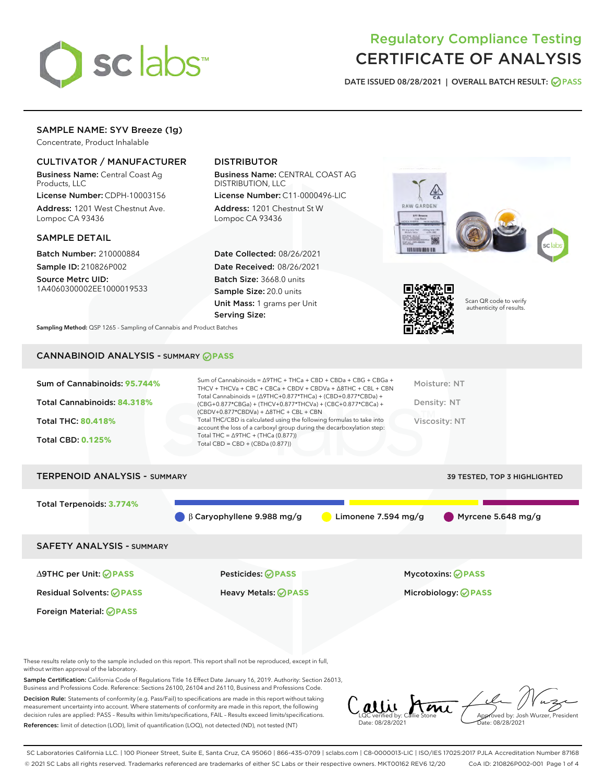

# Regulatory Compliance Testing CERTIFICATE OF ANALYSIS

DATE ISSUED 08/28/2021 | OVERALL BATCH RESULT: @ PASS

#### SAMPLE NAME: SYV Breeze (1g)

Concentrate, Product Inhalable

#### CULTIVATOR / MANUFACTURER

Business Name: Central Coast Ag Products, LLC

License Number: CDPH-10003156 Address: 1201 West Chestnut Ave. Lompoc CA 93436

#### SAMPLE DETAIL

Batch Number: 210000884 Sample ID: 210826P002

Source Metrc UID: 1A4060300002EE1000019533

#### DISTRIBUTOR

Business Name: CENTRAL COAST AG DISTRIBUTION, LLC

License Number: C11-0000496-LIC Address: 1201 Chestnut St W Lompoc CA 93436

Date Collected: 08/26/2021 Date Received: 08/26/2021 Batch Size: 3668.0 units Sample Size: 20.0 units Unit Mass: 1 grams per Unit Serving Size:





Scan QR code to verify authenticity of results.

Sampling Method: QSP 1265 - Sampling of Cannabis and Product Batches

## CANNABINOID ANALYSIS - SUMMARY **PASS**

| Sum of Cannabinoids: 95.744%<br>Total Cannabinoids: 84.318%<br><b>Total THC: 80.418%</b><br><b>Total CBD: 0.125%</b> | Sum of Cannabinoids = $\triangle$ 9THC + THCa + CBD + CBDa + CBG + CBGa +<br>THCV + THCVa + CBC + CBCa + CBDV + CBDVa + A8THC + CBL + CBN<br>Total Cannabinoids = $(\Delta$ 9THC+0.877*THCa) + (CBD+0.877*CBDa) +<br>(CBG+0.877*CBGa) + (THCV+0.877*THCVa) + (CBC+0.877*CBCa) +<br>$(CBDV+0.877*CBDVa) + \Delta 8THC + CBL + CBN$<br>Total THC/CBD is calculated using the following formulas to take into<br>account the loss of a carboxyl group during the decarboxylation step:<br>Total THC = $\triangle$ 9THC + (THCa (0.877))<br>Total CBD = $CBD + (CBDa (0.877))$ | Moisture: NT<br>Density: NT<br>Viscosity: NT |
|----------------------------------------------------------------------------------------------------------------------|----------------------------------------------------------------------------------------------------------------------------------------------------------------------------------------------------------------------------------------------------------------------------------------------------------------------------------------------------------------------------------------------------------------------------------------------------------------------------------------------------------------------------------------------------------------------------|----------------------------------------------|
| <b>TERPENOID ANALYSIS - SUMMARY</b>                                                                                  |                                                                                                                                                                                                                                                                                                                                                                                                                                                                                                                                                                            | 39 TESTED, TOP 3 HIGHLIGHTED                 |
| Total Terpenoids: 3.774%                                                                                             |                                                                                                                                                                                                                                                                                                                                                                                                                                                                                                                                                                            |                                              |

β Caryophyllene 9.988 mg/g Limonene 7.594 mg/g Myrcene 5.648 mg/g

SAFETY ANALYSIS - SUMMARY

∆9THC per Unit: **PASS** Pesticides: **PASS** Mycotoxins: **PASS**

Foreign Material: **PASS**

Residual Solvents: **PASS** Heavy Metals: **PASS** Microbiology: **PASS**

These results relate only to the sample included on this report. This report shall not be reproduced, except in full, without written approval of the laboratory.

Sample Certification: California Code of Regulations Title 16 Effect Date January 16, 2019. Authority: Section 26013, Business and Professions Code. Reference: Sections 26100, 26104 and 26110, Business and Professions Code.

Decision Rule: Statements of conformity (e.g. Pass/Fail) to specifications are made in this report without taking measurement uncertainty into account. Where statements of conformity are made in this report, the following decision rules are applied: PASS – Results within limits/specifications, FAIL – Results exceed limits/specifications. References: limit of detection (LOD), limit of quantification (LOQ), not detected (ND), not tested (NT)

LQC verified by: Callie Stone Date: 08/28/2021 Approved by: Josh Wurzer, President Date: 08/28/2021

SC Laboratories California LLC. | 100 Pioneer Street, Suite E, Santa Cruz, CA 95060 | 866-435-0709 | sclabs.com | C8-0000013-LIC | ISO/IES 17025:2017 PJLA Accreditation Number 87168 © 2021 SC Labs all rights reserved. Trademarks referenced are trademarks of either SC Labs or their respective owners. MKT00162 REV6 12/20 CoA ID: 210826P002-001 Page 1 of 4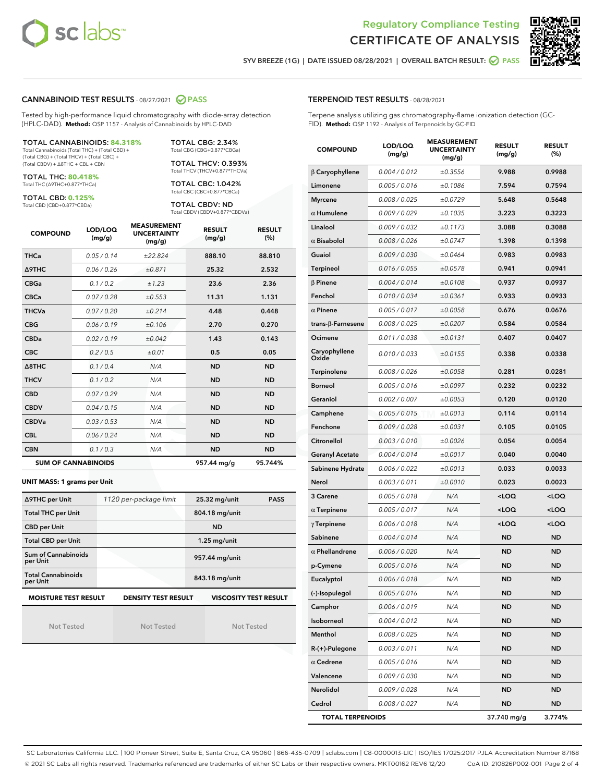



SYV BREEZE (1G) | DATE ISSUED 08/28/2021 | OVERALL BATCH RESULT:  $\bigcirc$  PASS

#### CANNABINOID TEST RESULTS - 08/27/2021 2 PASS

Tested by high-performance liquid chromatography with diode-array detection (HPLC-DAD). **Method:** QSP 1157 - Analysis of Cannabinoids by HPLC-DAD

#### TOTAL CANNABINOIDS: **84.318%**

Total Cannabinoids (Total THC) + (Total CBD) + (Total CBG) + (Total THCV) + (Total CBC) + (Total CBDV) + ∆8THC + CBL + CBN

TOTAL THC: **80.418%** Total THC (∆9THC+0.877\*THCa)

TOTAL CBD: **0.125%**

Total CBD (CBD+0.877\*CBDa)

TOTAL CBG: 2.34% Total CBG (CBG+0.877\*CBGa)

TOTAL THCV: 0.393% Total THCV (THCV+0.877\*THCVa)

TOTAL CBC: 1.042% Total CBC (CBC+0.877\*CBCa)

TOTAL CBDV: ND Total CBDV (CBDV+0.877\*CBDVa)

| <b>COMPOUND</b>  | LOD/LOQ<br>(mg/g)          | <b>MEASUREMENT</b><br><b>UNCERTAINTY</b><br>(mg/g) | <b>RESULT</b><br>(mg/g) | <b>RESULT</b><br>(%) |
|------------------|----------------------------|----------------------------------------------------|-------------------------|----------------------|
| <b>THCa</b>      | 0.05/0.14                  | ±22.824                                            | 888.10                  | 88.810               |
| <b>A9THC</b>     | 0.06 / 0.26                | ±0.871                                             | 25.32                   | 2.532                |
| <b>CBGa</b>      | 0.1/0.2                    | ±1.23                                              | 23.6                    | 2.36                 |
| <b>CBCa</b>      | 0.07/0.28                  | ±0.553                                             | 11.31                   | 1.131                |
| <b>THCVa</b>     | 0.07/0.20                  | ±0.214                                             | 4.48                    | 0.448                |
| <b>CBG</b>       | 0.06/0.19                  | ±0.106                                             | 2.70                    | 0.270                |
| <b>CBDa</b>      | 0.02/0.19                  | ±0.042                                             | 1.43                    | 0.143                |
| <b>CBC</b>       | 0.2 / 0.5                  | ±0.01                                              | 0.5                     | 0.05                 |
| $\triangle$ 8THC | 0.1/0.4                    | N/A                                                | <b>ND</b>               | <b>ND</b>            |
| <b>THCV</b>      | 0.1/0.2                    | N/A                                                | <b>ND</b>               | <b>ND</b>            |
| <b>CBD</b>       | 0.07/0.29                  | N/A                                                | <b>ND</b>               | <b>ND</b>            |
| <b>CBDV</b>      | 0.04/0.15                  | N/A                                                | <b>ND</b>               | <b>ND</b>            |
| <b>CBDVa</b>     | 0.03/0.53                  | N/A                                                | <b>ND</b>               | <b>ND</b>            |
| <b>CBL</b>       | 0.06 / 0.24                | N/A                                                | <b>ND</b>               | <b>ND</b>            |
| <b>CBN</b>       | 0.1/0.3                    | N/A                                                | <b>ND</b>               | <b>ND</b>            |
|                  | <b>SUM OF CANNABINOIDS</b> |                                                    | 957.44 mg/g             | 95.744%              |

#### **UNIT MASS: 1 grams per Unit**

| ∆9THC per Unit                        | 1120 per-package limit     | 25.32 mg/unit<br><b>PASS</b> |
|---------------------------------------|----------------------------|------------------------------|
| <b>Total THC per Unit</b>             |                            | 804.18 mg/unit               |
| <b>CBD per Unit</b>                   |                            | <b>ND</b>                    |
| <b>Total CBD per Unit</b>             |                            | $1.25$ mg/unit               |
| Sum of Cannabinoids<br>per Unit       |                            | 957.44 mg/unit               |
| <b>Total Cannabinoids</b><br>per Unit |                            | 843.18 mg/unit               |
| <b>MOISTURE TEST RESULT</b>           | <b>DENSITY TEST RESULT</b> | <b>VISCOSITY TEST RESULT</b> |

Not Tested

Not Tested

Not Tested

Terpene analysis utilizing gas chromatography-flame ionization detection (GC-FID). **Method:** QSP 1192 - Analysis of Terpenoids by GC-FID

| <b>COMPOUND</b>          | LOD/LOQ<br>(mg/g) | <b>MEASUREMENT</b><br><b>UNCERTAINTY</b><br>(mg/g) | <b>RESULT</b><br>(mg/g)                         | <b>RESULT</b><br>(%) |
|--------------------------|-------------------|----------------------------------------------------|-------------------------------------------------|----------------------|
| $\beta$ Caryophyllene    | 0.004 / 0.012     | ±0.3556                                            | 9.988                                           | 0.9988               |
| Limonene                 | 0.005 / 0.016     | ±0.1086                                            | 7.594                                           | 0.7594               |
| <b>Myrcene</b>           | 0.008 / 0.025     | ±0.0729                                            | 5.648                                           | 0.5648               |
| $\alpha$ Humulene        | 0.009 / 0.029     | ±0.1035                                            | 3.223                                           | 0.3223               |
| Linalool                 | 0.009 / 0.032     | ±0.1173                                            | 3.088                                           | 0.3088               |
| $\alpha$ Bisabolol       | 0.008 / 0.026     | ±0.0747                                            | 1.398                                           | 0.1398               |
| Guaiol                   | 0.009 / 0.030     | ±0.0464                                            | 0.983                                           | 0.0983               |
| <b>Terpineol</b>         | 0.016 / 0.055     | ±0.0578                                            | 0.941                                           | 0.0941               |
| $\beta$ Pinene           | 0.004 / 0.014     | ±0.0108                                            | 0.937                                           | 0.0937               |
| Fenchol                  | 0.010 / 0.034     | ±0.0361                                            | 0.933                                           | 0.0933               |
| $\alpha$ Pinene          | 0.005 / 0.017     | ±0.0058                                            | 0.676                                           | 0.0676               |
| $trans-\beta$ -Farnesene | 0.008 / 0.025     | ±0.0207                                            | 0.584                                           | 0.0584               |
| Ocimene                  | 0.011 / 0.038     | ±0.0131                                            | 0.407                                           | 0.0407               |
| Caryophyllene<br>Oxide   | 0.010 / 0.033     | ±0.0155                                            | 0.338                                           | 0.0338               |
| Terpinolene              | 0.008 / 0.026     | ±0.0058                                            | 0.281                                           | 0.0281               |
| <b>Borneol</b>           | 0.005 / 0.016     | ±0.0097                                            | 0.232                                           | 0.0232               |
| Geraniol                 | 0.002 / 0.007     | ±0.0053                                            | 0.120                                           | 0.0120               |
| Camphene                 | 0.005 / 0.015     | ±0.0013                                            | 0.114                                           | 0.0114               |
| Fenchone                 | 0.009 / 0.028     | ±0.0031                                            | 0.105                                           | 0.0105               |
| Citronellol              | 0.003 / 0.010     | ±0.0026                                            | 0.054                                           | 0.0054               |
| <b>Geranyl Acetate</b>   | 0.004 / 0.014     | ±0.0017                                            | 0.040                                           | 0.0040               |
| Sabinene Hydrate         | 0.006 / 0.022     | ±0.0013                                            | 0.033                                           | 0.0033               |
| Nerol                    | 0.003 / 0.011     | ±0.0010                                            | 0.023                                           | 0.0023               |
| 3 Carene                 | 0.005 / 0.018     | N/A                                                | <loq< th=""><th><loq< th=""></loq<></th></loq<> | <loq< th=""></loq<>  |
| $\alpha$ Terpinene       | 0.005 / 0.017     | N/A                                                | <loq< th=""><th><loq< th=""></loq<></th></loq<> | <loq< th=""></loq<>  |
| $\gamma$ Terpinene       | 0.006 / 0.018     | N/A                                                | <loq< th=""><th><loq< th=""></loq<></th></loq<> | <loq< th=""></loq<>  |
| Sabinene                 | 0.004 / 0.014     | N/A                                                | <b>ND</b>                                       | <b>ND</b>            |
| $\alpha$ Phellandrene    | 0.006 / 0.020     | N/A                                                | ND                                              | <b>ND</b>            |
| p-Cymene                 | 0.005 / 0.016     | N/A                                                | ND                                              | <b>ND</b>            |
| Eucalyptol               | 0.006 / 0.018     | N/A                                                | <b>ND</b>                                       | <b>ND</b>            |
| (-)-Isopulegol           | 0.005 / 0.016     | N/A                                                | ND                                              | ND                   |
| Camphor                  | 0.006 / 0.019     | N/A                                                | <b>ND</b>                                       | <b>ND</b>            |
| Isoborneol               | 0.004 / 0.012     | N/A                                                | <b>ND</b>                                       | <b>ND</b>            |
| Menthol                  | 0.008 / 0.025     | N/A                                                | ND                                              | <b>ND</b>            |
| R-(+)-Pulegone           | 0.003 / 0.011     | N/A                                                | ND                                              | ND                   |
| $\alpha$ Cedrene         | 0.005 / 0.016     | N/A                                                | <b>ND</b>                                       | ND                   |
| Valencene                | 0.009 / 0.030     | N/A                                                | <b>ND</b>                                       | <b>ND</b>            |
| Nerolidol                | 0.009 / 0.028     | N/A                                                | ND                                              | ND                   |
| Cedrol                   | 0.008 / 0.027     | N/A                                                | ND                                              | <b>ND</b>            |
| <b>TOTAL TERPENOIDS</b>  |                   |                                                    | 37.740 mg/g                                     | 3.774%               |

SC Laboratories California LLC. | 100 Pioneer Street, Suite E, Santa Cruz, CA 95060 | 866-435-0709 | sclabs.com | C8-0000013-LIC | ISO/IES 17025:2017 PJLA Accreditation Number 87168 © 2021 SC Labs all rights reserved. Trademarks referenced are trademarks of either SC Labs or their respective owners. MKT00162 REV6 12/20 CoA ID: 210826P002-001 Page 2 of 4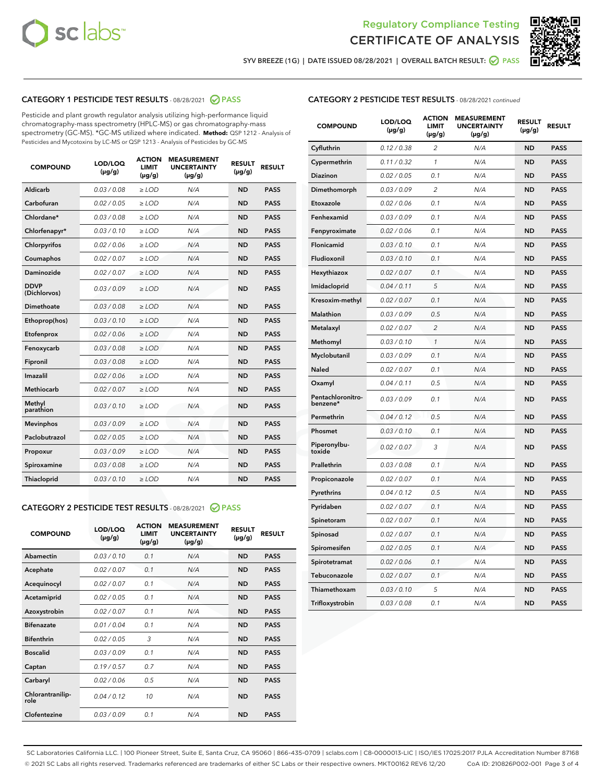



SYV BREEZE (1G) | DATE ISSUED 08/28/2021 | OVERALL BATCH RESULT: ◯ PASS

### CATEGORY 1 PESTICIDE TEST RESULTS - 08/28/2021 2 PASS

Pesticide and plant growth regulator analysis utilizing high-performance liquid chromatography-mass spectrometry (HPLC-MS) or gas chromatography-mass spectrometry (GC-MS). \*GC-MS utilized where indicated. **Method:** QSP 1212 - Analysis of Pesticides and Mycotoxins by LC-MS or QSP 1213 - Analysis of Pesticides by GC-MS

| <b>COMPOUND</b>             | LOD/LOQ<br>$(\mu g/g)$ | <b>ACTION</b><br><b>LIMIT</b><br>$(\mu g/g)$ | <b>MEASUREMENT</b><br><b>UNCERTAINTY</b><br>$(\mu g/g)$ | <b>RESULT</b><br>$(\mu g/g)$ | <b>RESULT</b> |
|-----------------------------|------------------------|----------------------------------------------|---------------------------------------------------------|------------------------------|---------------|
| Aldicarb                    | 0.03 / 0.08            | $\ge$ LOD                                    | N/A                                                     | <b>ND</b>                    | <b>PASS</b>   |
| Carbofuran                  | 0.02/0.05              | $\geq$ LOD                                   | N/A                                                     | <b>ND</b>                    | <b>PASS</b>   |
| Chlordane*                  | 0.03 / 0.08            | $\geq$ LOD                                   | N/A                                                     | <b>ND</b>                    | <b>PASS</b>   |
| Chlorfenapyr*               | 0.03/0.10              | $\geq$ LOD                                   | N/A                                                     | <b>ND</b>                    | <b>PASS</b>   |
| Chlorpyrifos                | 0.02 / 0.06            | $\ge$ LOD                                    | N/A                                                     | <b>ND</b>                    | <b>PASS</b>   |
| Coumaphos                   | 0.02 / 0.07            | $\ge$ LOD                                    | N/A                                                     | <b>ND</b>                    | <b>PASS</b>   |
| Daminozide                  | 0.02 / 0.07            | $\ge$ LOD                                    | N/A                                                     | <b>ND</b>                    | <b>PASS</b>   |
| <b>DDVP</b><br>(Dichlorvos) | 0.03/0.09              | $\ge$ LOD                                    | N/A                                                     | <b>ND</b>                    | <b>PASS</b>   |
| Dimethoate                  | 0.03/0.08              | $\ge$ LOD                                    | N/A                                                     | <b>ND</b>                    | <b>PASS</b>   |
| Ethoprop(hos)               | 0.03/0.10              | $\ge$ LOD                                    | N/A                                                     | <b>ND</b>                    | <b>PASS</b>   |
| Etofenprox                  | 0.02 / 0.06            | $\ge$ LOD                                    | N/A                                                     | <b>ND</b>                    | <b>PASS</b>   |
| Fenoxycarb                  | 0.03/0.08              | $\ge$ LOD                                    | N/A                                                     | <b>ND</b>                    | <b>PASS</b>   |
| Fipronil                    | 0.03/0.08              | $\ge$ LOD                                    | N/A                                                     | <b>ND</b>                    | <b>PASS</b>   |
| Imazalil                    | 0.02 / 0.06            | $\ge$ LOD                                    | N/A                                                     | <b>ND</b>                    | <b>PASS</b>   |
| <b>Methiocarb</b>           | 0.02 / 0.07            | $\ge$ LOD                                    | N/A                                                     | <b>ND</b>                    | <b>PASS</b>   |
| Methyl<br>parathion         | 0.03/0.10              | $>$ LOD                                      | N/A                                                     | <b>ND</b>                    | <b>PASS</b>   |
| <b>Mevinphos</b>            | 0.03/0.09              | $\ge$ LOD                                    | N/A                                                     | <b>ND</b>                    | <b>PASS</b>   |
| Paclobutrazol               | 0.02 / 0.05            | $\ge$ LOD                                    | N/A                                                     | <b>ND</b>                    | <b>PASS</b>   |
| Propoxur                    | 0.03/0.09              | $\ge$ LOD                                    | N/A                                                     | <b>ND</b>                    | <b>PASS</b>   |
| Spiroxamine                 | 0.03/0.08              | $\ge$ LOD                                    | N/A                                                     | <b>ND</b>                    | <b>PASS</b>   |
| <b>Thiacloprid</b>          | 0.03/0.10              | $\ge$ LOD                                    | N/A                                                     | <b>ND</b>                    | <b>PASS</b>   |
|                             |                        |                                              |                                                         |                              |               |

#### CATEGORY 2 PESTICIDE TEST RESULTS - 08/28/2021 @ PASS

| <b>COMPOUND</b>          | LOD/LOO<br>$(\mu g/g)$ | <b>ACTION</b><br>LIMIT<br>$(\mu g/g)$ | <b>MEASUREMENT</b><br><b>UNCERTAINTY</b><br>$(\mu g/g)$ | <b>RESULT</b><br>$(\mu g/g)$ | <b>RESULT</b> |  |
|--------------------------|------------------------|---------------------------------------|---------------------------------------------------------|------------------------------|---------------|--|
| Abamectin                | 0.03/0.10              | 0.1                                   | N/A                                                     | <b>ND</b>                    | <b>PASS</b>   |  |
| Acephate                 | 0.02/0.07              | 0.1                                   | N/A                                                     | <b>ND</b>                    | <b>PASS</b>   |  |
| Acequinocyl              | 0.02/0.07              | 0.1                                   | N/A                                                     | <b>ND</b>                    | <b>PASS</b>   |  |
| Acetamiprid              | 0.02/0.05              | 0.1                                   | N/A                                                     | <b>ND</b>                    | <b>PASS</b>   |  |
| Azoxystrobin             | 0.02/0.07              | 0.1                                   | N/A                                                     | <b>ND</b>                    | <b>PASS</b>   |  |
| <b>Bifenazate</b>        | 0.01/0.04              | 0.1                                   | N/A                                                     | <b>ND</b>                    | <b>PASS</b>   |  |
| <b>Bifenthrin</b>        | 0.02/0.05              | 3                                     | N/A                                                     | <b>ND</b>                    | <b>PASS</b>   |  |
| <b>Boscalid</b>          | 0.03/0.09              | 0.1                                   | N/A                                                     | <b>ND</b>                    | <b>PASS</b>   |  |
| Captan                   | 0.19/0.57              | 0.7                                   | N/A                                                     | <b>ND</b>                    | <b>PASS</b>   |  |
| Carbaryl                 | 0.02/0.06              | 0.5                                   | N/A                                                     | <b>ND</b>                    | <b>PASS</b>   |  |
| Chlorantranilip-<br>role | 0.04/0.12              | 10                                    | N/A                                                     | <b>ND</b>                    | <b>PASS</b>   |  |
| Clofentezine             | 0.03/0.09              | 0.1                                   | N/A                                                     | <b>ND</b>                    | <b>PASS</b>   |  |

| <b>CATEGORY 2 PESTICIDE TEST RESULTS</b> - 08/28/2021 continued |  |
|-----------------------------------------------------------------|--|
|-----------------------------------------------------------------|--|

| <b>COMPOUND</b>               | LOD/LOQ<br>(µg/g) | <b>ACTION</b><br><b>LIMIT</b><br>(µg/g) | <b>MEASUREMENT</b><br><b>UNCERTAINTY</b><br>$(\mu g/g)$ | <b>RESULT</b><br>(µg/g) | <b>RESULT</b> |
|-------------------------------|-------------------|-----------------------------------------|---------------------------------------------------------|-------------------------|---------------|
| Cyfluthrin                    | 0.12 / 0.38       | $\overline{c}$                          | N/A                                                     | <b>ND</b>               | <b>PASS</b>   |
| Cypermethrin                  | 0.11 / 0.32       | 1                                       | N/A                                                     | <b>ND</b>               | <b>PASS</b>   |
| <b>Diazinon</b>               | 0.02 / 0.05       | 0.1                                     | N/A                                                     | <b>ND</b>               | <b>PASS</b>   |
| Dimethomorph                  | 0.03 / 0.09       | 2                                       | N/A                                                     | <b>ND</b>               | <b>PASS</b>   |
| Etoxazole                     | 0.02 / 0.06       | 0.1                                     | N/A                                                     | <b>ND</b>               | <b>PASS</b>   |
| Fenhexamid                    | 0.03 / 0.09       | 0.1                                     | N/A                                                     | <b>ND</b>               | <b>PASS</b>   |
| Fenpyroximate                 | 0.02 / 0.06       | 0.1                                     | N/A                                                     | <b>ND</b>               | <b>PASS</b>   |
| Flonicamid                    | 0.03 / 0.10       | 0.1                                     | N/A                                                     | <b>ND</b>               | <b>PASS</b>   |
| Fludioxonil                   | 0.03 / 0.10       | 0.1                                     | N/A                                                     | <b>ND</b>               | <b>PASS</b>   |
| Hexythiazox                   | 0.02 / 0.07       | 0.1                                     | N/A                                                     | <b>ND</b>               | <b>PASS</b>   |
| Imidacloprid                  | 0.04 / 0.11       | 5                                       | N/A                                                     | <b>ND</b>               | <b>PASS</b>   |
| Kresoxim-methyl               | 0.02 / 0.07       | 0.1                                     | N/A                                                     | <b>ND</b>               | <b>PASS</b>   |
| <b>Malathion</b>              | 0.03 / 0.09       | 0.5                                     | N/A                                                     | <b>ND</b>               | <b>PASS</b>   |
| Metalaxyl                     | 0.02 / 0.07       | $\overline{2}$                          | N/A                                                     | <b>ND</b>               | <b>PASS</b>   |
| Methomyl                      | 0.03 / 0.10       | 1                                       | N/A                                                     | <b>ND</b>               | <b>PASS</b>   |
| Myclobutanil                  | 0.03 / 0.09       | 0.1                                     | N/A                                                     | <b>ND</b>               | <b>PASS</b>   |
| Naled                         | 0.02 / 0.07       | 0.1                                     | N/A                                                     | <b>ND</b>               | <b>PASS</b>   |
| Oxamyl                        | 0.04 / 0.11       | 0.5                                     | N/A                                                     | <b>ND</b>               | <b>PASS</b>   |
| Pentachloronitro-<br>benzene* | 0.03 / 0.09       | 0.1                                     | N/A                                                     | <b>ND</b>               | <b>PASS</b>   |
| Permethrin                    | 0.04 / 0.12       | 0.5                                     | N/A                                                     | <b>ND</b>               | <b>PASS</b>   |
| Phosmet                       | 0.03 / 0.10       | 0.1                                     | N/A                                                     | <b>ND</b>               | <b>PASS</b>   |
| Piperonylbu-<br>toxide        | 0.02 / 0.07       | 3                                       | N/A                                                     | <b>ND</b>               | <b>PASS</b>   |
| Prallethrin                   | 0.03 / 0.08       | 0.1                                     | N/A                                                     | <b>ND</b>               | <b>PASS</b>   |
| Propiconazole                 | 0.02 / 0.07       | 0.1                                     | N/A                                                     | <b>ND</b>               | <b>PASS</b>   |
| Pyrethrins                    | 0.04 / 0.12       | 0.5                                     | N/A                                                     | <b>ND</b>               | <b>PASS</b>   |
| Pyridaben                     | 0.02 / 0.07       | 0.1                                     | N/A                                                     | <b>ND</b>               | <b>PASS</b>   |
| Spinetoram                    | 0.02 / 0.07       | 0.1                                     | N/A                                                     | <b>ND</b>               | <b>PASS</b>   |
| Spinosad                      | 0.02 / 0.07       | 0.1                                     | N/A                                                     | <b>ND</b>               | <b>PASS</b>   |
| Spiromesifen                  | 0.02 / 0.05       | 0.1                                     | N/A                                                     | <b>ND</b>               | <b>PASS</b>   |
| Spirotetramat                 | 0.02 / 0.06       | 0.1                                     | N/A                                                     | <b>ND</b>               | <b>PASS</b>   |
| Tebuconazole                  | 0.02 / 0.07       | 0.1                                     | N/A                                                     | ND                      | <b>PASS</b>   |
| Thiamethoxam                  | 0.03 / 0.10       | 5                                       | N/A                                                     | <b>ND</b>               | <b>PASS</b>   |
| Trifloxystrobin               | 0.03 / 0.08       | 0.1                                     | N/A                                                     | <b>ND</b>               | <b>PASS</b>   |

SC Laboratories California LLC. | 100 Pioneer Street, Suite E, Santa Cruz, CA 95060 | 866-435-0709 | sclabs.com | C8-0000013-LIC | ISO/IES 17025:2017 PJLA Accreditation Number 87168 © 2021 SC Labs all rights reserved. Trademarks referenced are trademarks of either SC Labs or their respective owners. MKT00162 REV6 12/20 CoA ID: 210826P002-001 Page 3 of 4